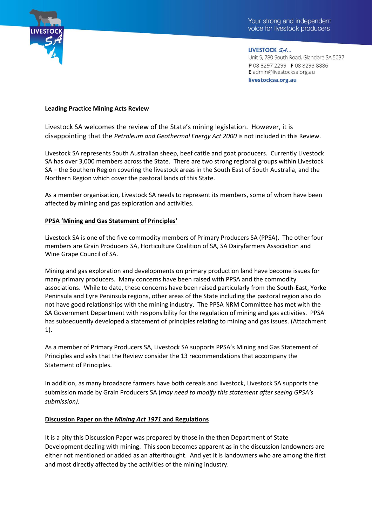

LIVESTOCK SA... Unit 5, 780 South Road, Glandore SA 5037 P 08 8297 2299 F 08 8293 8886 E admin@livestocksa.org.au livestocksa.org.au

### **Leading Practice Mining Acts Review**

Livestock SA welcomes the review of the State's mining legislation. However, it is disappointing that the *Petroleum and Geothermal Energy Act 2000* is not included in this Review.

Livestock SA represents South Australian sheep, beef cattle and goat producers. Currently Livestock SA has over 3,000 members across the State. There are two strong regional groups within Livestock SA – the Southern Region covering the livestock areas in the South East of South Australia, and the Northern Region which cover the pastoral lands of this State.

As a member organisation, Livestock SA needs to represent its members, some of whom have been affected by mining and gas exploration and activities.

#### **PPSA 'Mining and Gas Statement of Principles'**

Livestock SA is one of the five commodity members of Primary Producers SA (PPSA). The other four members are Grain Producers SA, Horticulture Coalition of SA, SA Dairyfarmers Association and Wine Grape Council of SA.

Mining and gas exploration and developments on primary production land have become issues for many primary producers. Many concerns have been raised with PPSA and the commodity associations. While to date, these concerns have been raised particularly from the South-East, Yorke Peninsula and Eyre Peninsula regions, other areas of the State including the pastoral region also do not have good relationships with the mining industry. The PPSA NRM Committee has met with the SA Government Department with responsibility for the regulation of mining and gas activities. PPSA has subsequently developed a statement of principles relating to mining and gas issues. (Attachment 1).

As a member of Primary Producers SA, Livestock SA supports PPSA's Mining and Gas Statement of Principles and asks that the Review consider the 13 recommendations that accompany the Statement of Principles.

In addition, as many broadacre farmers have both cereals and livestock, Livestock SA supports the submission made by Grain Producers SA (*may need to modify this statement after seeing GPSA's submission).*

### **Discussion Paper on the** *Mining Act 1971* **and Regulations**

It is a pity this Discussion Paper was prepared by those in the then Department of State Development dealing with mining. This soon becomes apparent as in the discussion landowners are either not mentioned or added as an afterthought. And yet it is landowners who are among the first and most directly affected by the activities of the mining industry.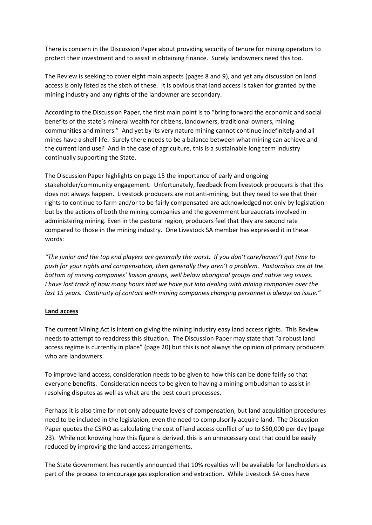There is concern in the Discussion Paper about providing security of tenure for mining operators to protect their investment and to assist in obtaining finance. Surely landowners need this too.

The Review is seeking to cover eight main aspects (pages 8 and 9), and yet any discussion on land access is only listed as the sixth of these. It is obvious that land access is taken for granted by the mining industry and any rights of the landowner are secondary.

According to the Discussion Paper, the first main point is to "bring forward the economic and social benefits of the state's mineral wealth for citizens, landowners, traditional owners, mining communities and miners." And yet by its very nature mining cannot continue indefinitely and all mines have a shelf-life. Surely there needs to be a balance between what mining can achieve and the current land use? And in the case of agriculture, this is a sustainable long term industry continually supporting the State.

The Discussion Paper highlights on page 15 the importance of early and ongoing stakeholder/community engagement. Unfortunately, feedback from livestock producers is that this does not always happen. Livestock producers are not anti-mining, but they need to see that their rights to continue to farm and/or to be fairly compensated are acknowledged not only by legislation but by the actions of both the mining companies and the government bureaucrats involved in administering mining. Even in the pastoral region, producers feel that they are second rate compared to those in the mining industry. One Livestock SA member has expressed it in these words:

*"The junior and the top end players are generally the worst. If you don't care/haven't got time to push for your rights and compensation, then generally they aren't a problem. Pastoralists are at the bottom of mining companies' liaison groups, well below aboriginal groups and native veg issues. I have lost track of how many hours that we have put into dealing with mining companies over the last 15 years. Continuity of contact with mining companies changing personnel is always an issue."*

### **Land access**

The current Mining Act is intent on giving the mining industry easy land access rights. This Review needs to attempt to readdress this situation. The Discussion Paper may state that "a robust land access regime is currently in place" (page 20) but this is not always the opinion of primary producers who are landowners.

To improve land access, consideration needs to be given to how this can be done fairly so that everyone benefits. Consideration needs to be given to having a mining ombudsman to assist in resolving disputes as well as what are the best court processes.

Perhaps it is also time for not only adequate levels of compensation, but land acquisition procedures need to be included in the legislation, even the need to compulsorily acquire land. The Discussion Paper quotes the CSIRO as calculating the cost of land access conflict of up to \$50,000 per day (page 23). While not knowing how this figure is derived, this is an unnecessary cost that could be easily reduced by improving the land access arrangements.

The State Government has recently announced that 10% royalties will be available for landholders as part of the process to encourage gas exploration and extraction. While Livestock SA does have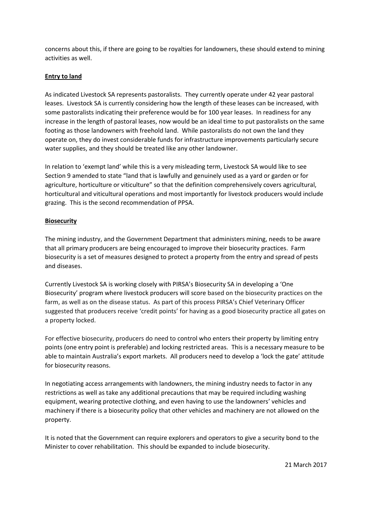concerns about this, if there are going to be royalties for landowners, these should extend to mining activities as well.

# **Entry to land**

As indicated Livestock SA represents pastoralists. They currently operate under 42 year pastoral leases. Livestock SA is currently considering how the length of these leases can be increased, with some pastoralists indicating their preference would be for 100 year leases. In readiness for any increase in the length of pastoral leases, now would be an ideal time to put pastoralists on the same footing as those landowners with freehold land. While pastoralists do not own the land they operate on, they do invest considerable funds for infrastructure improvements particularly secure water supplies, and they should be treated like any other landowner.

In relation to 'exempt land' while this is a very misleading term, Livestock SA would like to see Section 9 amended to state "land that is lawfully and genuinely used as a yard or garden or for agriculture, horticulture or viticulture" so that the definition comprehensively covers agricultural, horticultural and viticultural operations and most importantly for livestock producers would include grazing. This is the second recommendation of PPSA.

# **Biosecurity**

The mining industry, and the Government Department that administers mining, needs to be aware that all primary producers are being encouraged to improve their biosecurity practices. Farm biosecurity is a set of measures designed to protect a property from the entry and spread of pests and diseases.

Currently Livestock SA is working closely with PIRSA's Biosecurity SA in developing a 'One Biosecurity' program where livestock producers will score based on the biosecurity practices on the farm, as well as on the disease status. As part of this process PIRSA's Chief Veterinary Officer suggested that producers receive 'credit points' for having as a good biosecurity practice all gates on a property locked.

For effective biosecurity, producers do need to control who enters their property by limiting entry points (one entry point is preferable) and locking restricted areas. This is a necessary measure to be able to maintain Australia's export markets. All producers need to develop a 'lock the gate' attitude for biosecurity reasons.

In negotiating access arrangements with landowners, the mining industry needs to factor in any restrictions as well as take any additional precautions that may be required including washing equipment, wearing protective clothing, and even having to use the landowners' vehicles and machinery if there is a biosecurity policy that other vehicles and machinery are not allowed on the property.

It is noted that the Government can require explorers and operators to give a security bond to the Minister to cover rehabilitation. This should be expanded to include biosecurity.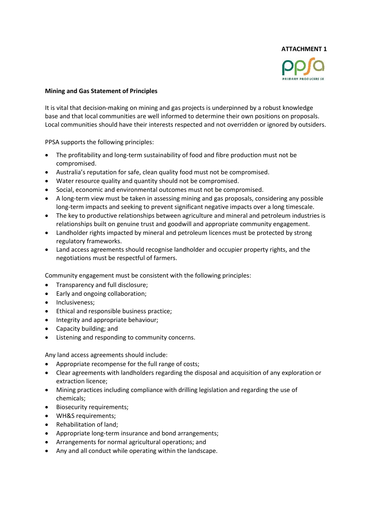

# **Mining and Gas Statement of Principles**

It is vital that decision-making on mining and gas projects is underpinned by a robust knowledge base and that local communities are well informed to determine their own positions on proposals. Local communities should have their interests respected and not overridden or ignored by outsiders.

PPSA supports the following principles:

- The profitability and long-term sustainability of food and fibre production must not be compromised.
- Australia's reputation for safe, clean quality food must not be compromised.
- Water resource quality and quantity should not be compromised.
- Social, economic and environmental outcomes must not be compromised.
- A long-term view must be taken in assessing mining and gas proposals, considering any possible long-term impacts and seeking to prevent significant negative impacts over a long timescale.
- The key to productive relationships between agriculture and mineral and petroleum industries is relationships built on genuine trust and goodwill and appropriate community engagement.
- Landholder rights impacted by mineral and petroleum licences must be protected by strong regulatory frameworks.
- Land access agreements should recognise landholder and occupier property rights, and the negotiations must be respectful of farmers.

Community engagement must be consistent with the following principles:

- Transparency and full disclosure;
- Early and ongoing collaboration;
- Inclusiveness;
- Ethical and responsible business practice;
- Integrity and appropriate behaviour;
- Capacity building; and
- Listening and responding to community concerns.

Any land access agreements should include:

- Appropriate recompense for the full range of costs;
- Clear agreements with landholders regarding the disposal and acquisition of any exploration or extraction licence;
- Mining practices including compliance with drilling legislation and regarding the use of chemicals;
- Biosecurity requirements;
- WH&S requirements:
- Rehabilitation of land;
- Appropriate long-term insurance and bond arrangements;
- Arrangements for normal agricultural operations; and
- Any and all conduct while operating within the landscape.